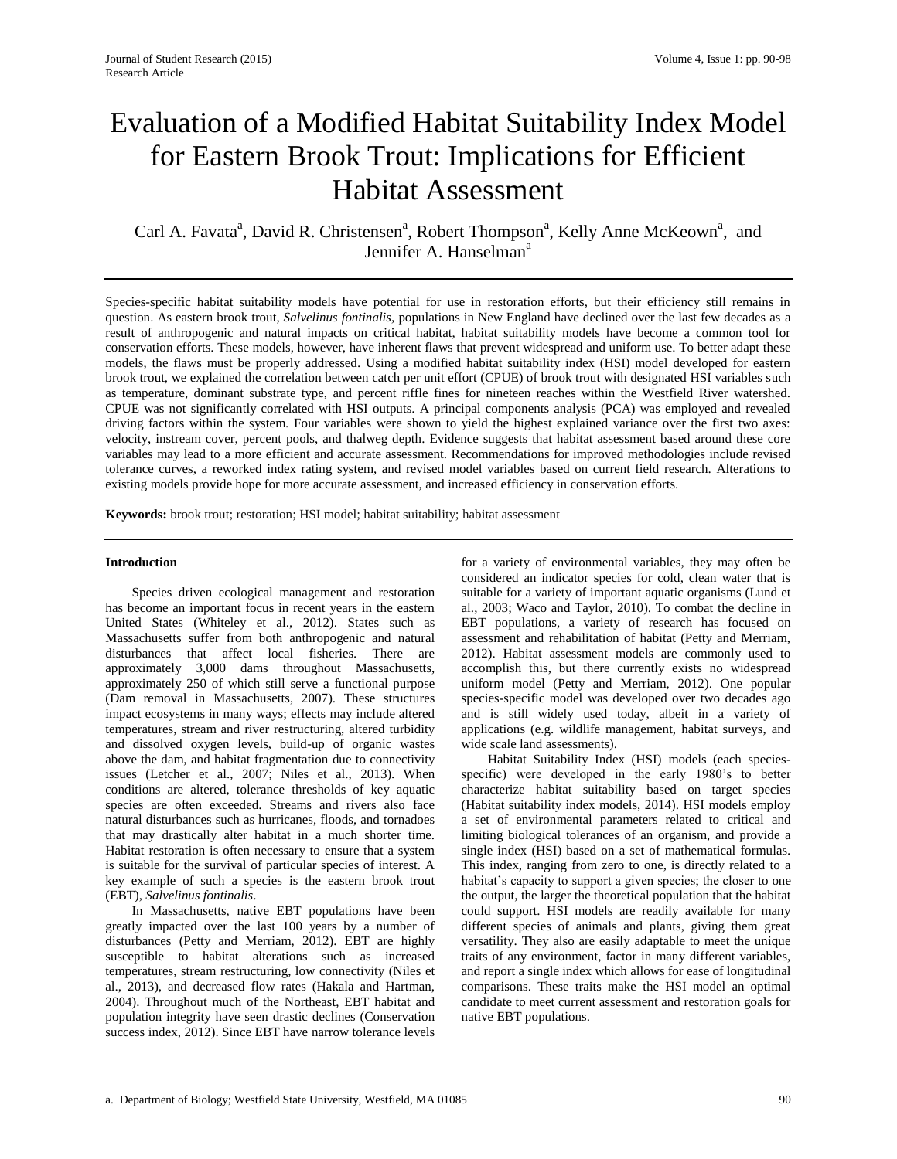# Evaluation of a Modified Habitat Suitability Index Model for Eastern Brook Trout: Implications for Efficient Habitat Assessment

Carl A. Favata<sup>a</sup>, David R. Christensen<sup>a</sup>, Robert Thompson<sup>a</sup>, Kelly Anne McKeown<sup>a</sup>, and Jennifer A. Hanselman<sup>a</sup>

Species-specific habitat suitability models have potential for use in restoration efforts, but their efficiency still remains in question. As eastern brook trout, *Salvelinus fontinalis,* populations in New England have declined over the last few decades as a result of anthropogenic and natural impacts on critical habitat, habitat suitability models have become a common tool for conservation efforts. These models, however, have inherent flaws that prevent widespread and uniform use. To better adapt these models, the flaws must be properly addressed. Using a modified habitat suitability index (HSI) model developed for eastern brook trout, we explained the correlation between catch per unit effort (CPUE) of brook trout with designated HSI variables such as temperature, dominant substrate type, and percent riffle fines for nineteen reaches within the Westfield River watershed. CPUE was not significantly correlated with HSI outputs. A principal components analysis (PCA) was employed and revealed driving factors within the system. Four variables were shown to yield the highest explained variance over the first two axes: velocity, instream cover, percent pools, and thalweg depth. Evidence suggests that habitat assessment based around these core variables may lead to a more efficient and accurate assessment. Recommendations for improved methodologies include revised tolerance curves, a reworked index rating system, and revised model variables based on current field research. Alterations to existing models provide hope for more accurate assessment, and increased efficiency in conservation efforts.

**Keywords:** brook trout; restoration; HSI model; habitat suitability; habitat assessment

#### **Introduction**

Species driven ecological management and restoration has become an important focus in recent years in the eastern United States (Whiteley et al., 2012). States such as Massachusetts suffer from both anthropogenic and natural disturbances that affect local fisheries. There are approximately 3,000 dams throughout Massachusetts, approximately 250 of which still serve a functional purpose (Dam removal in Massachusetts, 2007). These structures impact ecosystems in many ways; effects may include altered temperatures, stream and river restructuring, altered turbidity and dissolved oxygen levels, build-up of organic wastes above the dam, and habitat fragmentation due to connectivity issues (Letcher et al., 2007; Niles et al., 2013). When conditions are altered, tolerance thresholds of key aquatic species are often exceeded. Streams and rivers also face natural disturbances such as hurricanes, floods, and tornadoes that may drastically alter habitat in a much shorter time. Habitat restoration is often necessary to ensure that a system is suitable for the survival of particular species of interest. A key example of such a species is the eastern brook trout (EBT), *Salvelinus fontinalis*.

In Massachusetts, native EBT populations have been greatly impacted over the last 100 years by a number of disturbances (Petty and Merriam, 2012). EBT are highly susceptible to habitat alterations such as increased temperatures, stream restructuring, low connectivity (Niles et al., 2013), and decreased flow rates (Hakala and Hartman, 2004). Throughout much of the Northeast, EBT habitat and population integrity have seen drastic declines (Conservation success index, 2012). Since EBT have narrow tolerance levels

for a variety of environmental variables, they may often be considered an indicator species for cold, clean water that is suitable for a variety of important aquatic organisms (Lund et al., 2003; Waco and Taylor, 2010). To combat the decline in EBT populations, a variety of research has focused on assessment and rehabilitation of habitat (Petty and Merriam, 2012). Habitat assessment models are commonly used to accomplish this, but there currently exists no widespread uniform model (Petty and Merriam, 2012). One popular species-specific model was developed over two decades ago and is still widely used today, albeit in a variety of applications (e.g. wildlife management, habitat surveys, and wide scale land assessments).

Habitat Suitability Index (HSI) models (each speciesspecific) were developed in the early 1980's to better characterize habitat suitability based on target species (Habitat suitability index models, 2014). HSI models employ a set of environmental parameters related to critical and limiting biological tolerances of an organism, and provide a single index (HSI) based on a set of mathematical formulas. This index, ranging from zero to one, is directly related to a habitat's capacity to support a given species; the closer to one the output, the larger the theoretical population that the habitat could support. HSI models are readily available for many different species of animals and plants, giving them great versatility. They also are easily adaptable to meet the unique traits of any environment, factor in many different variables, and report a single index which allows for ease of longitudinal comparisons. These traits make the HSI model an optimal candidate to meet current assessment and restoration goals for native EBT populations.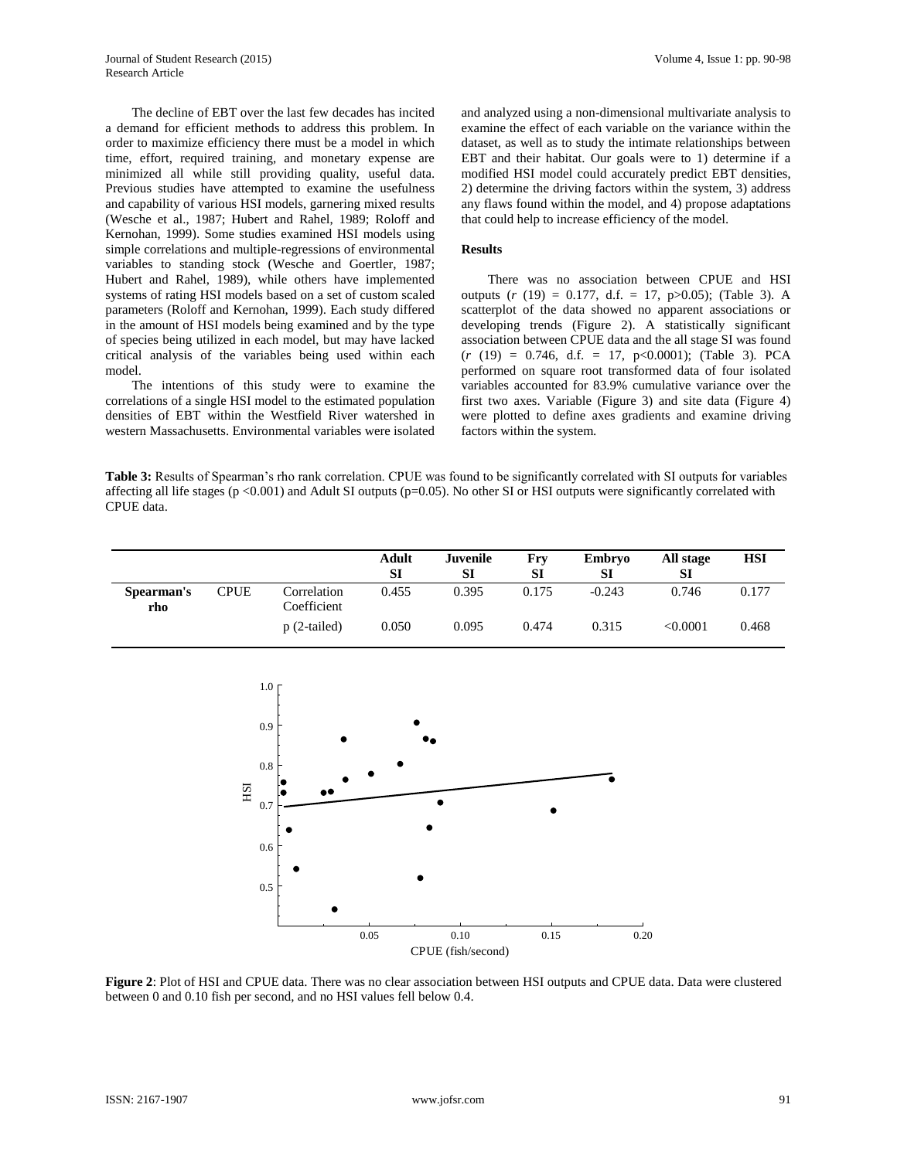The decline of EBT over the last few decades has incited a demand for efficient methods to address this problem. In order to maximize efficiency there must be a model in which time, effort, required training, and monetary expense are minimized all while still providing quality, useful data. Previous studies have attempted to examine the usefulness and capability of various HSI models, garnering mixed results (Wesche et al., 1987; Hubert and Rahel, 1989; Roloff and Kernohan, 1999). Some studies examined HSI models using simple correlations and multiple-regressions of environmental variables to standing stock (Wesche and Goertler, 1987; Hubert and Rahel, 1989), while others have implemented systems of rating HSI models based on a set of custom scaled parameters (Roloff and Kernohan, 1999). Each study differed in the amount of HSI models being examined and by the type of species being utilized in each model, but may have lacked critical analysis of the variables being used within each model.

The intentions of this study were to examine the correlations of a single HSI model to the estimated population densities of EBT within the Westfield River watershed in western Massachusetts. Environmental variables were isolated

and analyzed using a non-dimensional multivariate analysis to examine the effect of each variable on the variance within the dataset, as well as to study the intimate relationships between EBT and their habitat. Our goals were to 1) determine if a modified HSI model could accurately predict EBT densities, 2) determine the driving factors within the system, 3) address any flaws found within the model, and 4) propose adaptations that could help to increase efficiency of the model.

#### **Results**

There was no association between CPUE and HSI outputs (*r* (19) = 0.177, d.f. = 17, p>0.05); (Table 3). A scatterplot of the data showed no apparent associations or developing trends (Figure 2). A statistically significant association between CPUE data and the all stage SI was found  $(r (19) = 0.746, d.f. = 17, p<0.0001);$  (Table 3). PCA performed on square root transformed data of four isolated variables accounted for 83.9% cumulative variance over the first two axes. Variable (Figure 3) and site data (Figure 4) were plotted to define axes gradients and examine driving factors within the system.

**Table 3:** Results of Spearman's rho rank correlation. CPUE was found to be significantly correlated with SI outputs for variables affecting all life stages (p <0.001) and Adult SI outputs (p=0.05). No other SI or HSI outputs were significantly correlated with CPUE data.

|                   |             |                            | Adult<br>SI | Juvenile<br>SI | Fry<br>SI | Embryo<br>SI | All stage<br>SI | <b>HSI</b> |
|-------------------|-------------|----------------------------|-------------|----------------|-----------|--------------|-----------------|------------|
| Spearman's<br>rho | <b>CPUE</b> | Correlation<br>Coefficient | 0.455       | 0.395          | 0.175     | $-0.243$     | 0.746           | 0.177      |
|                   |             | $p(2-tailed)$              | 0.050       | 0.095          | 0.474     | 0.315        | < 0.0001        | 0.468      |



**Figure 2**: Plot of HSI and CPUE data. There was no clear association between HSI outputs and CPUE data. Data were clustered between 0 and 0.10 fish per second, and no HSI values fell below 0.4.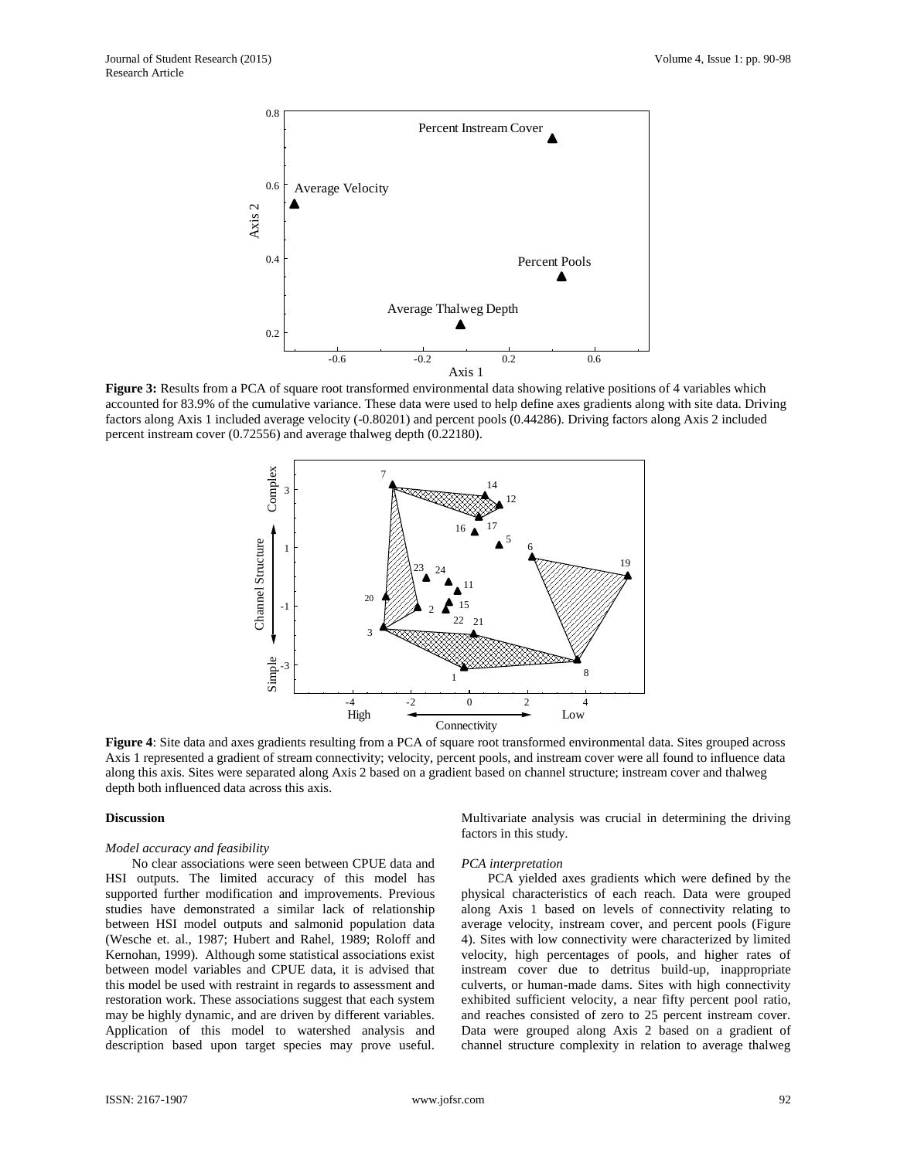

**Figure 3:** Results from a PCA of square root transformed environmental data showing relative positions of 4 variables which accounted for 83.9% of the cumulative variance. These data were used to help define axes gradients along with site data. Driving factors along Axis 1 included average velocity (-0.80201) and percent pools (0.44286). Driving factors along Axis 2 included percent instream cover (0.72556) and average thalweg depth (0.22180).



**Figure 4**: Site data and axes gradients resulting from a PCA of square root transformed environmental data. Sites grouped across Axis 1 represented a gradient of stream connectivity; velocity, percent pools, and instream cover were all found to influence data along this axis. Sites were separated along Axis 2 based on a gradient based on channel structure; instream cover and thalweg depth both influenced data across this axis.

## **Discussion**

#### *Model accuracy and feasibility*

No clear associations were seen between CPUE data and HSI outputs. The limited accuracy of this model has supported further modification and improvements. Previous studies have demonstrated a similar lack of relationship between HSI model outputs and salmonid population data (Wesche et. al., 1987; Hubert and Rahel, 1989; Roloff and Kernohan, 1999). Although some statistical associations exist between model variables and CPUE data, it is advised that this model be used with restraint in regards to assessment and restoration work. These associations suggest that each system may be highly dynamic, and are driven by different variables. Application of this model to watershed analysis and description based upon target species may prove useful.

Multivariate analysis was crucial in determining the driving factors in this study.

#### *PCA interpretation*

PCA yielded axes gradients which were defined by the physical characteristics of each reach. Data were grouped along Axis 1 based on levels of connectivity relating to average velocity, instream cover, and percent pools (Figure 4). Sites with low connectivity were characterized by limited velocity, high percentages of pools, and higher rates of instream cover due to detritus build-up, inappropriate culverts, or human-made dams. Sites with high connectivity exhibited sufficient velocity, a near fifty percent pool ratio, and reaches consisted of zero to 25 percent instream cover. Data were grouped along Axis 2 based on a gradient of channel structure complexity in relation to average thalweg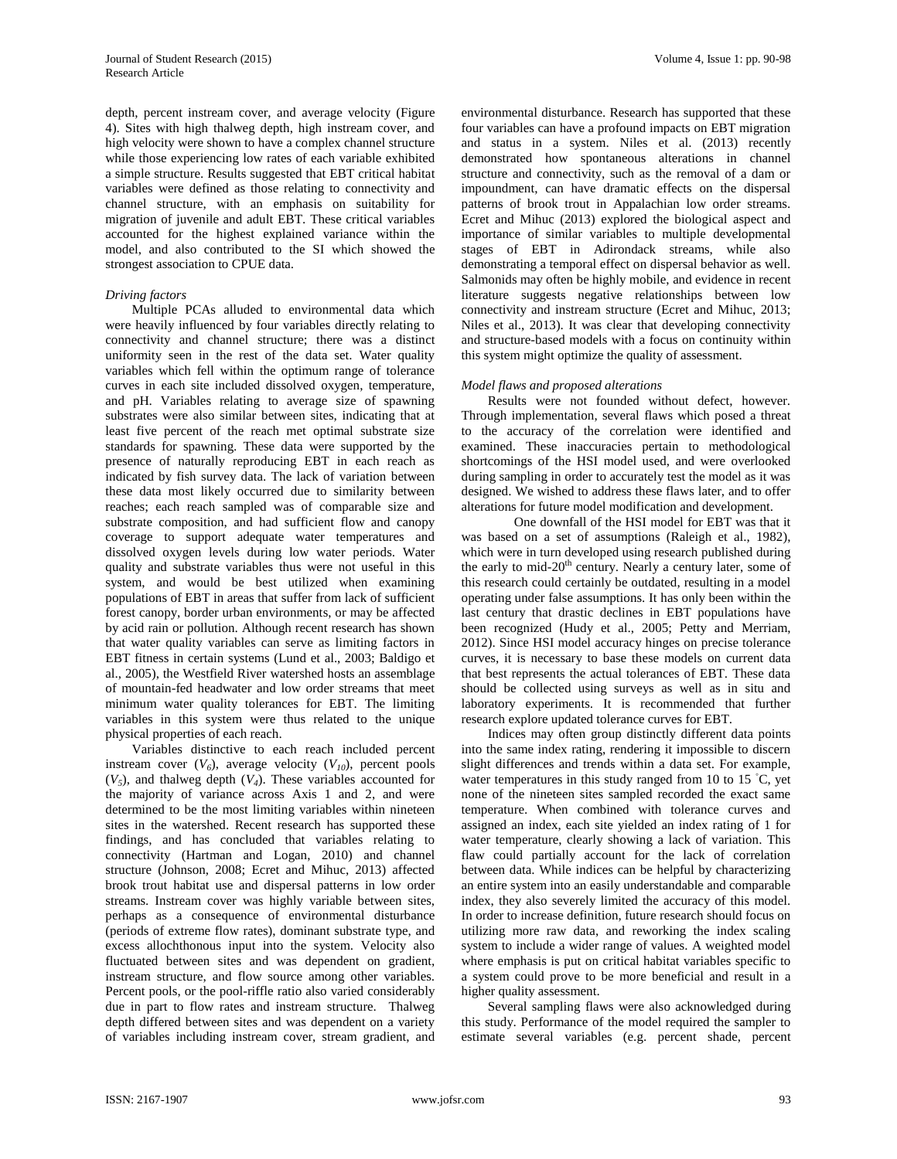depth, percent instream cover, and average velocity (Figure 4). Sites with high thalweg depth, high instream cover, and high velocity were shown to have a complex channel structure while those experiencing low rates of each variable exhibited a simple structure. Results suggested that EBT critical habitat variables were defined as those relating to connectivity and channel structure, with an emphasis on suitability for migration of juvenile and adult EBT. These critical variables accounted for the highest explained variance within the model, and also contributed to the SI which showed the strongest association to CPUE data.

## *Driving factors*

Multiple PCAs alluded to environmental data which were heavily influenced by four variables directly relating to connectivity and channel structure; there was a distinct uniformity seen in the rest of the data set. Water quality variables which fell within the optimum range of tolerance curves in each site included dissolved oxygen, temperature, and pH. Variables relating to average size of spawning substrates were also similar between sites, indicating that at least five percent of the reach met optimal substrate size standards for spawning. These data were supported by the presence of naturally reproducing EBT in each reach as indicated by fish survey data. The lack of variation between these data most likely occurred due to similarity between reaches; each reach sampled was of comparable size and substrate composition, and had sufficient flow and canopy coverage to support adequate water temperatures and dissolved oxygen levels during low water periods. Water quality and substrate variables thus were not useful in this system, and would be best utilized when examining populations of EBT in areas that suffer from lack of sufficient forest canopy, border urban environments, or may be affected by acid rain or pollution. Although recent research has shown that water quality variables can serve as limiting factors in EBT fitness in certain systems (Lund et al., 2003; Baldigo et al., 2005), the Westfield River watershed hosts an assemblage of mountain-fed headwater and low order streams that meet minimum water quality tolerances for EBT. The limiting variables in this system were thus related to the unique physical properties of each reach.

Variables distinctive to each reach included percent instream cover  $(V_6)$ , average velocity  $(V_{10})$ , percent pools  $(V<sub>5</sub>)$ , and thalweg depth  $(V<sub>4</sub>)$ . These variables accounted for the majority of variance across Axis 1 and 2, and were determined to be the most limiting variables within nineteen sites in the watershed. Recent research has supported these findings, and has concluded that variables relating to connectivity (Hartman and Logan, 2010) and channel structure (Johnson, 2008; Ecret and Mihuc, 2013) affected brook trout habitat use and dispersal patterns in low order streams. Instream cover was highly variable between sites, perhaps as a consequence of environmental disturbance (periods of extreme flow rates), dominant substrate type, and excess allochthonous input into the system. Velocity also fluctuated between sites and was dependent on gradient, instream structure, and flow source among other variables. Percent pools, or the pool-riffle ratio also varied considerably due in part to flow rates and instream structure. Thalweg depth differed between sites and was dependent on a variety of variables including instream cover, stream gradient, and

environmental disturbance. Research has supported that these four variables can have a profound impacts on EBT migration and status in a system. Niles et al. (2013) recently demonstrated how spontaneous alterations in channel structure and connectivity, such as the removal of a dam or impoundment, can have dramatic effects on the dispersal patterns of brook trout in Appalachian low order streams. Ecret and Mihuc (2013) explored the biological aspect and importance of similar variables to multiple developmental stages of EBT in Adirondack streams, while also demonstrating a temporal effect on dispersal behavior as well. Salmonids may often be highly mobile, and evidence in recent literature suggests negative relationships between low connectivity and instream structure (Ecret and Mihuc, 2013; Niles et al., 2013). It was clear that developing connectivity and structure-based models with a focus on continuity within this system might optimize the quality of assessment.

## *Model flaws and proposed alterations*

Results were not founded without defect, however. Through implementation, several flaws which posed a threat to the accuracy of the correlation were identified and examined. These inaccuracies pertain to methodological shortcomings of the HSI model used, and were overlooked during sampling in order to accurately test the model as it was designed. We wished to address these flaws later, and to offer alterations for future model modification and development.

One downfall of the HSI model for EBT was that it was based on a set of assumptions (Raleigh et al., 1982), which were in turn developed using research published during the early to mid- $20<sup>th</sup>$  century. Nearly a century later, some of this research could certainly be outdated, resulting in a model operating under false assumptions. It has only been within the last century that drastic declines in EBT populations have been recognized (Hudy et al., 2005; Petty and Merriam, 2012). Since HSI model accuracy hinges on precise tolerance curves, it is necessary to base these models on current data that best represents the actual tolerances of EBT. These data should be collected using surveys as well as in situ and laboratory experiments. It is recommended that further research explore updated tolerance curves for EBT.

Indices may often group distinctly different data points into the same index rating, rendering it impossible to discern slight differences and trends within a data set. For example, water temperatures in this study ranged from 10 to 15 °C, yet none of the nineteen sites sampled recorded the exact same temperature. When combined with tolerance curves and assigned an index, each site yielded an index rating of 1 for water temperature, clearly showing a lack of variation. This flaw could partially account for the lack of correlation between data. While indices can be helpful by characterizing an entire system into an easily understandable and comparable index, they also severely limited the accuracy of this model. In order to increase definition, future research should focus on utilizing more raw data, and reworking the index scaling system to include a wider range of values. A weighted model where emphasis is put on critical habitat variables specific to a system could prove to be more beneficial and result in a higher quality assessment.

Several sampling flaws were also acknowledged during this study. Performance of the model required the sampler to estimate several variables (e.g. percent shade, percent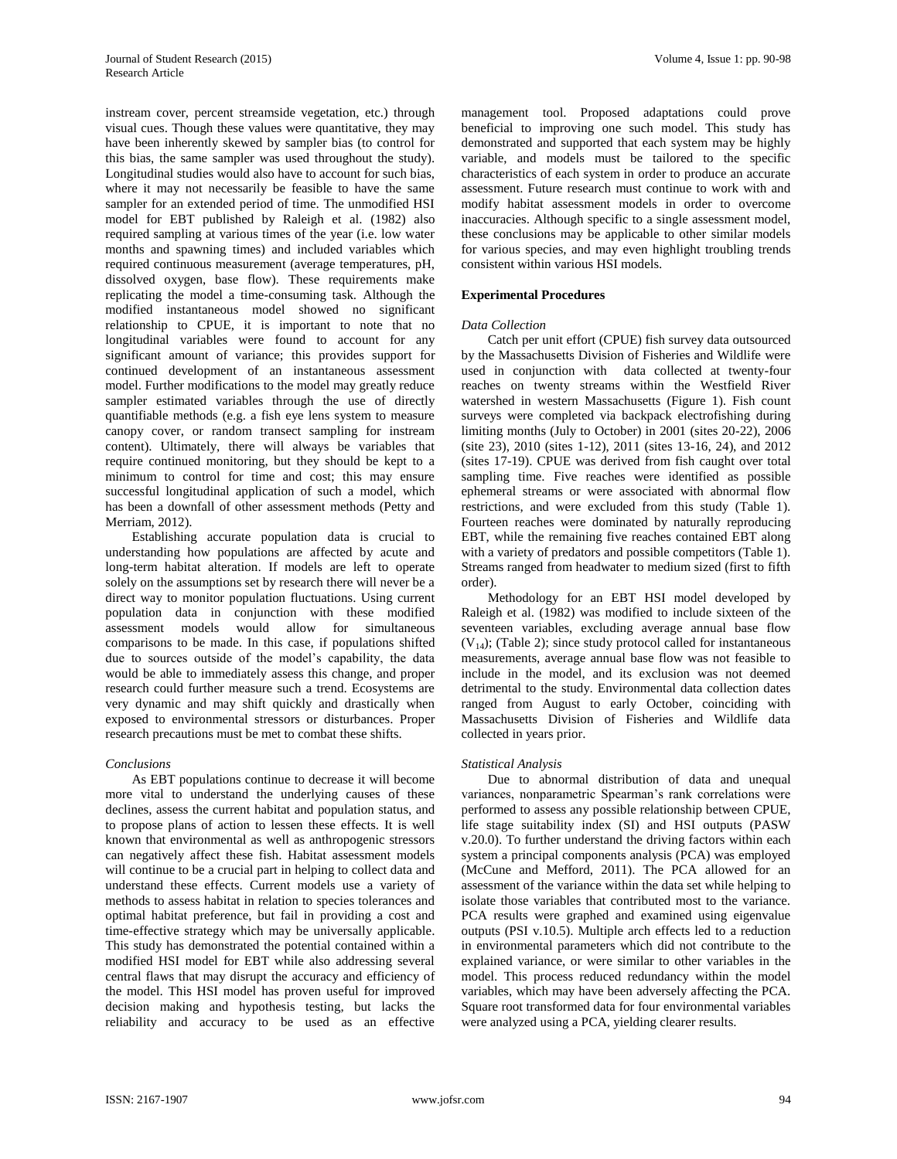instream cover, percent streamside vegetation, etc.) through visual cues. Though these values were quantitative, they may have been inherently skewed by sampler bias (to control for this bias, the same sampler was used throughout the study). Longitudinal studies would also have to account for such bias, where it may not necessarily be feasible to have the same sampler for an extended period of time. The unmodified HSI model for EBT published by Raleigh et al. (1982) also required sampling at various times of the year (i.e. low water months and spawning times) and included variables which required continuous measurement (average temperatures, pH, dissolved oxygen, base flow). These requirements make replicating the model a time-consuming task. Although the modified instantaneous model showed no significant relationship to CPUE, it is important to note that no longitudinal variables were found to account for any significant amount of variance; this provides support for continued development of an instantaneous assessment model. Further modifications to the model may greatly reduce sampler estimated variables through the use of directly quantifiable methods (e.g. a fish eye lens system to measure canopy cover, or random transect sampling for instream content). Ultimately, there will always be variables that require continued monitoring, but they should be kept to a minimum to control for time and cost; this may ensure successful longitudinal application of such a model, which has been a downfall of other assessment methods (Petty and Merriam, 2012).

Establishing accurate population data is crucial to understanding how populations are affected by acute and long-term habitat alteration. If models are left to operate solely on the assumptions set by research there will never be a direct way to monitor population fluctuations. Using current population data in conjunction with these modified assessment models would allow for simultaneous comparisons to be made. In this case, if populations shifted due to sources outside of the model's capability, the data would be able to immediately assess this change, and proper research could further measure such a trend. Ecosystems are very dynamic and may shift quickly and drastically when exposed to environmental stressors or disturbances. Proper research precautions must be met to combat these shifts.

## *Conclusions*

As EBT populations continue to decrease it will become more vital to understand the underlying causes of these declines, assess the current habitat and population status, and to propose plans of action to lessen these effects. It is well known that environmental as well as anthropogenic stressors can negatively affect these fish. Habitat assessment models will continue to be a crucial part in helping to collect data and understand these effects. Current models use a variety of methods to assess habitat in relation to species tolerances and optimal habitat preference, but fail in providing a cost and time-effective strategy which may be universally applicable. This study has demonstrated the potential contained within a modified HSI model for EBT while also addressing several central flaws that may disrupt the accuracy and efficiency of the model. This HSI model has proven useful for improved decision making and hypothesis testing, but lacks the reliability and accuracy to be used as an effective

management tool. Proposed adaptations could prove beneficial to improving one such model. This study has demonstrated and supported that each system may be highly variable, and models must be tailored to the specific characteristics of each system in order to produce an accurate assessment. Future research must continue to work with and modify habitat assessment models in order to overcome inaccuracies. Although specific to a single assessment model, these conclusions may be applicable to other similar models for various species, and may even highlight troubling trends consistent within various HSI models.

# **Experimental Procedures**

## *Data Collection*

Catch per unit effort (CPUE) fish survey data outsourced by the Massachusetts Division of Fisheries and Wildlife were used in conjunction with data collected at twenty-four reaches on twenty streams within the Westfield River watershed in western Massachusetts (Figure 1). Fish count surveys were completed via backpack electrofishing during limiting months (July to October) in 2001 (sites 20-22), 2006 (site 23), 2010 (sites 1-12), 2011 (sites 13-16, 24), and 2012 (sites 17-19). CPUE was derived from fish caught over total sampling time. Five reaches were identified as possible ephemeral streams or were associated with abnormal flow restrictions, and were excluded from this study (Table 1). Fourteen reaches were dominated by naturally reproducing EBT, while the remaining five reaches contained EBT along with a variety of predators and possible competitors (Table 1). Streams ranged from headwater to medium sized (first to fifth order).

Methodology for an EBT HSI model developed by Raleigh et al. (1982) was modified to include sixteen of the seventeen variables, excluding average annual base flow  $(V_{14})$ ; (Table 2); since study protocol called for instantaneous measurements, average annual base flow was not feasible to include in the model, and its exclusion was not deemed detrimental to the study. Environmental data collection dates ranged from August to early October, coinciding with Massachusetts Division of Fisheries and Wildlife data collected in years prior.

## *Statistical Analysis*

Due to abnormal distribution of data and unequal variances, nonparametric Spearman's rank correlations were performed to assess any possible relationship between CPUE, life stage suitability index (SI) and HSI outputs (PASW v.20.0). To further understand the driving factors within each system a principal components analysis (PCA) was employed (McCune and Mefford, 2011). The PCA allowed for an assessment of the variance within the data set while helping to isolate those variables that contributed most to the variance. PCA results were graphed and examined using eigenvalue outputs (PSI v.10.5). Multiple arch effects led to a reduction in environmental parameters which did not contribute to the explained variance, or were similar to other variables in the model. This process reduced redundancy within the model variables, which may have been adversely affecting the PCA. Square root transformed data for four environmental variables were analyzed using a PCA, yielding clearer results.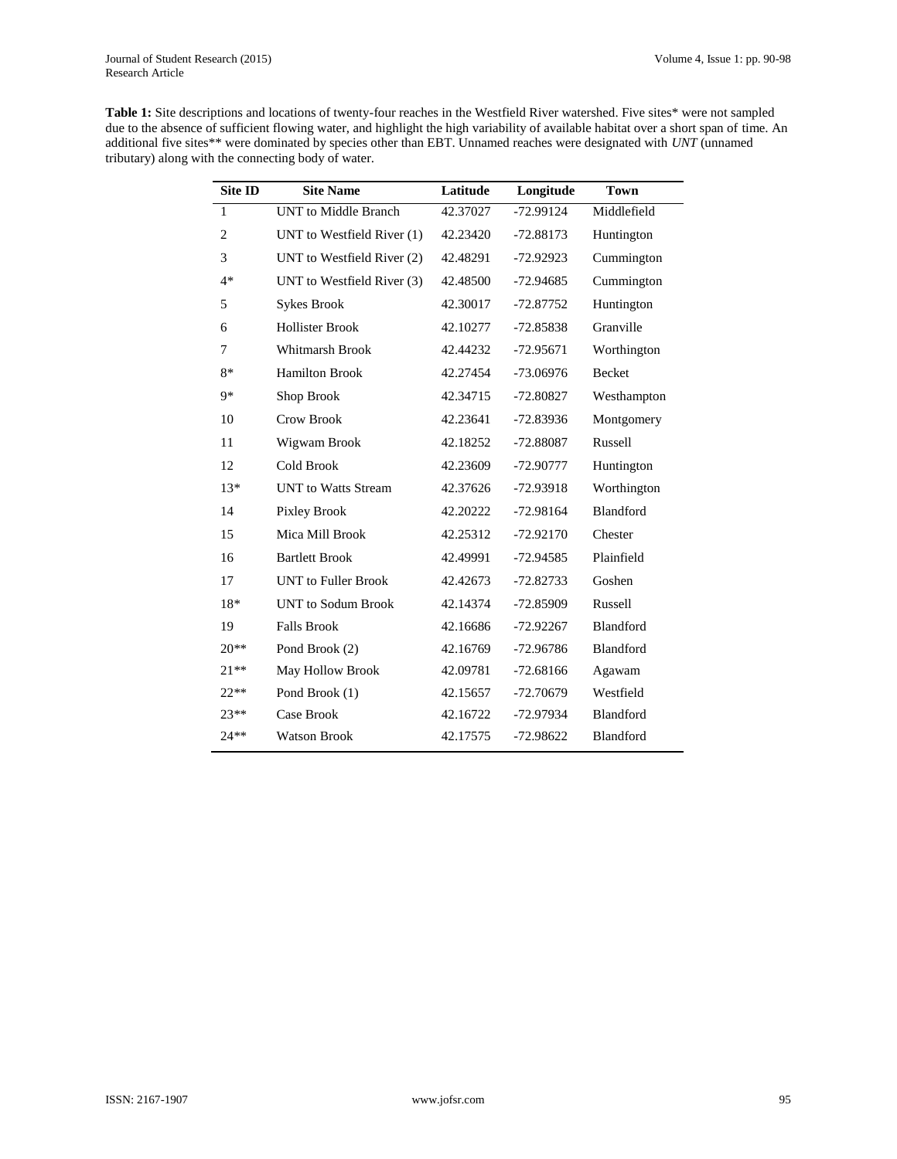| <b>Table 1:</b> Site descriptions and locations of twenty-four reaches in the Westfield River watershed. Five sites* were not sampled |
|---------------------------------------------------------------------------------------------------------------------------------------|
| due to the absence of sufficient flowing water, and highlight the high variability of available habitat over a short span of time. An |
| additional five sites** were dominated by species other than EBT. Unnamed reaches were designated with UNT (unnamed                   |
| tributary) along with the connecting body of water.                                                                                   |

| Site ID        | <b>Site Name</b>            | Latitude | Longitude   | <b>Town</b> |  |
|----------------|-----------------------------|----------|-------------|-------------|--|
| $\mathbf{1}$   | <b>UNT</b> to Middle Branch | 42.37027 | -72.99124   | Middlefield |  |
| $\overline{c}$ | UNT to Westfield River (1)  | 42.23420 | $-72.88173$ | Huntington  |  |
| 3              | UNT to Westfield River (2)  | 42.48291 | $-72.92923$ | Cummington  |  |
| $4*$           | UNT to Westfield River (3)  | 42.48500 | $-72.94685$ | Cummington  |  |
| 5              | <b>Sykes Brook</b>          | 42.30017 | $-72.87752$ | Huntington  |  |
| 6              | <b>Hollister Brook</b>      | 42.10277 | $-72.85838$ | Granville   |  |
| 7              | Whitmarsh Brook             | 42.44232 | $-72.95671$ | Worthington |  |
| $8*$           | <b>Hamilton Brook</b>       | 42.27454 | $-73.06976$ | Becket      |  |
| 9*             | Shop Brook                  | 42.34715 | $-72.80827$ | Westhampton |  |
| 10             | Crow Brook                  | 42.23641 | $-72.83936$ | Montgomery  |  |
| 11             | Wigwam Brook                | 42.18252 | -72.88087   | Russell     |  |
| 12             | Cold Brook                  | 42.23609 | -72.90777   | Huntington  |  |
| $13*$          | <b>UNT</b> to Watts Stream  | 42.37626 | -72.93918   | Worthington |  |
| 14             | Pixley Brook                | 42.20222 | $-72.98164$ | Blandford   |  |
| 15             | Mica Mill Brook             | 42.25312 | $-72.92170$ | Chester     |  |
| 16             | <b>Bartlett Brook</b>       | 42.49991 | -72.94585   | Plainfield  |  |
| 17             | <b>UNT</b> to Fuller Brook  | 42.42673 | $-72.82733$ | Goshen      |  |
| $18*$          | <b>UNT</b> to Sodum Brook   | 42.14374 | $-72.85909$ | Russell     |  |
| 19             | <b>Falls Brook</b>          | 42.16686 | $-72.92267$ | Blandford   |  |
| $20**$         | Pond Brook (2)              | 42.16769 | $-72.96786$ | Blandford   |  |
| $21**$         | May Hollow Brook            | 42.09781 | $-72.68166$ | Agawam      |  |
| $22**$         | Pond Brook (1)              | 42.15657 | $-72.70679$ | Westfield   |  |
| $23**$         | Case Brook                  | 42.16722 | -72.97934   | Blandford   |  |
| 24**           | <b>Watson Brook</b>         | 42.17575 | $-72.98622$ | Blandford   |  |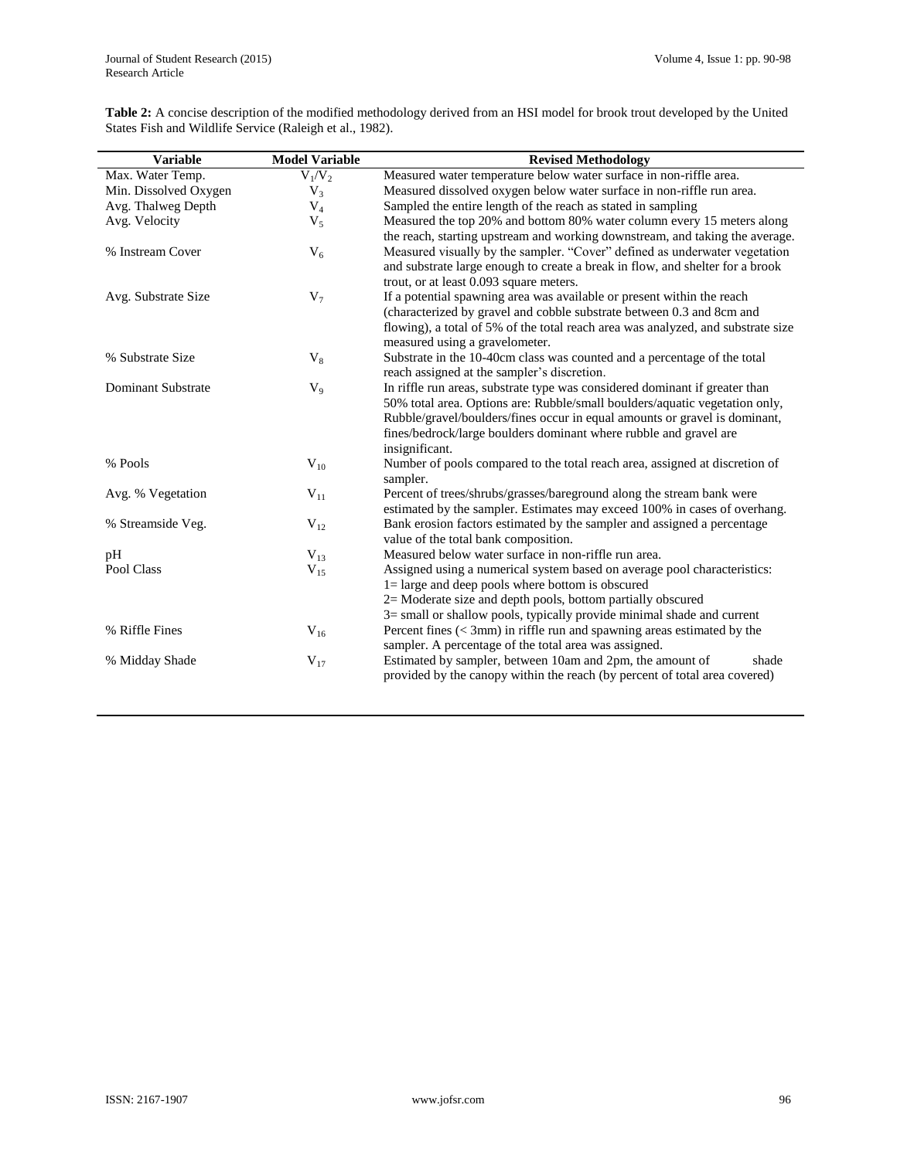**Table 2:** A concise description of the modified methodology derived from an HSI model for brook trout developed by the United States Fish and Wildlife Service (Raleigh et al., 1982).

| <b>Variable</b>                | <b>Model Variable</b> | <b>Revised Methodology</b>                                                                                                                                                                                                                                                                                                      |  |  |  |
|--------------------------------|-----------------------|---------------------------------------------------------------------------------------------------------------------------------------------------------------------------------------------------------------------------------------------------------------------------------------------------------------------------------|--|--|--|
| Max. Water Temp.               | $V_1/V_2$             | Measured water temperature below water surface in non-riffle area.                                                                                                                                                                                                                                                              |  |  |  |
| Min. Dissolved Oxygen<br>$V_3$ |                       | Measured dissolved oxygen below water surface in non-riffle run area.                                                                                                                                                                                                                                                           |  |  |  |
| $V_4$<br>Avg. Thalweg Depth    |                       | Sampled the entire length of the reach as stated in sampling                                                                                                                                                                                                                                                                    |  |  |  |
| Avg. Velocity                  | $V_5$                 | Measured the top 20% and bottom 80% water column every 15 meters along<br>the reach, starting upstream and working downstream, and taking the average.                                                                                                                                                                          |  |  |  |
| % Instream Cover               | $V_6$                 | Measured visually by the sampler. "Cover" defined as underwater vegetation<br>and substrate large enough to create a break in flow, and shelter for a brook<br>trout, or at least 0.093 square meters.                                                                                                                          |  |  |  |
| Avg. Substrate Size            | $V_7$                 | If a potential spawning area was available or present within the reach<br>(characterized by gravel and cobble substrate between 0.3 and 8cm and<br>flowing), a total of 5% of the total reach area was analyzed, and substrate size<br>measured using a gravelometer.                                                           |  |  |  |
| % Substrate Size               | $V_8$                 | Substrate in the 10-40cm class was counted and a percentage of the total<br>reach assigned at the sampler's discretion.                                                                                                                                                                                                         |  |  |  |
| <b>Dominant Substrate</b>      | $V_9$                 | In riffle run areas, substrate type was considered dominant if greater than<br>50% total area. Options are: Rubble/small boulders/aquatic vegetation only,<br>Rubble/gravel/boulders/fines occur in equal amounts or gravel is dominant,<br>fines/bedrock/large boulders dominant where rubble and gravel are<br>insignificant. |  |  |  |
| % Pools                        | $V_{10}$              | Number of pools compared to the total reach area, assigned at discretion of<br>sampler.                                                                                                                                                                                                                                         |  |  |  |
| Avg. % Vegetation              | $V_{11}$              | Percent of trees/shrubs/grasses/bareground along the stream bank were<br>estimated by the sampler. Estimates may exceed 100% in cases of overhang.                                                                                                                                                                              |  |  |  |
| % Streamside Veg.              | $V_{12}$              | Bank erosion factors estimated by the sampler and assigned a percentage<br>value of the total bank composition.                                                                                                                                                                                                                 |  |  |  |
| pH                             | $V_{13}$              | Measured below water surface in non-riffle run area.                                                                                                                                                                                                                                                                            |  |  |  |
| Pool Class                     | $V_{15}$              | Assigned using a numerical system based on average pool characteristics:<br>$l =$ large and deep pools where bottom is obscured<br>$2=$ Moderate size and depth pools, bottom partially obscured<br>$3 =$ small or shallow pools, typically provide minimal shade and current                                                   |  |  |  |
| % Riffle Fines                 | $V_{16}$              | Percent fines $(< 3$ mm) in riffle run and spawning areas estimated by the<br>sampler. A percentage of the total area was assigned.                                                                                                                                                                                             |  |  |  |
| % Midday Shade                 | $V_{17}$              | Estimated by sampler, between 10am and 2pm, the amount of<br>shade<br>provided by the canopy within the reach (by percent of total area covered)                                                                                                                                                                                |  |  |  |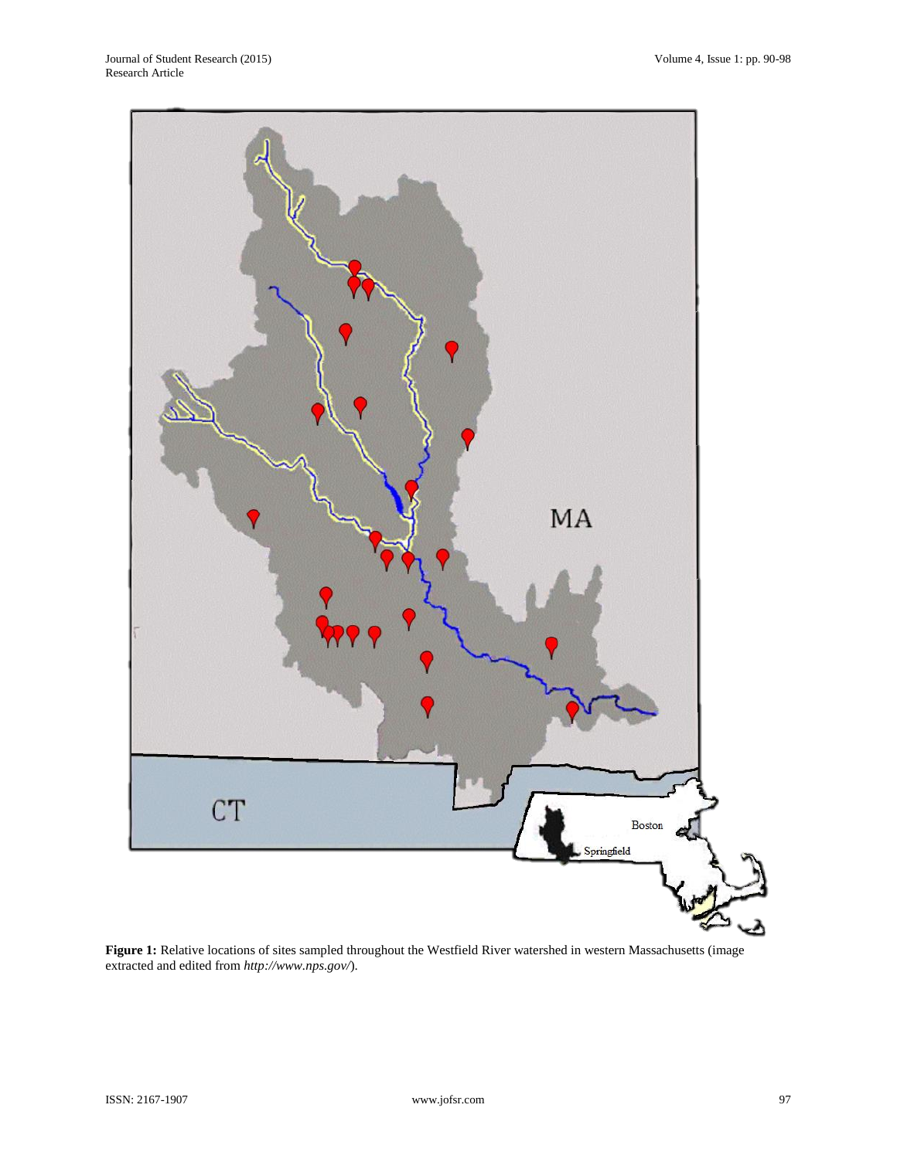

**Figure 1:** Relative locations of sites sampled throughout the Westfield River watershed in western Massachusetts (image extracted and edited from *http://www.nps.gov/*).